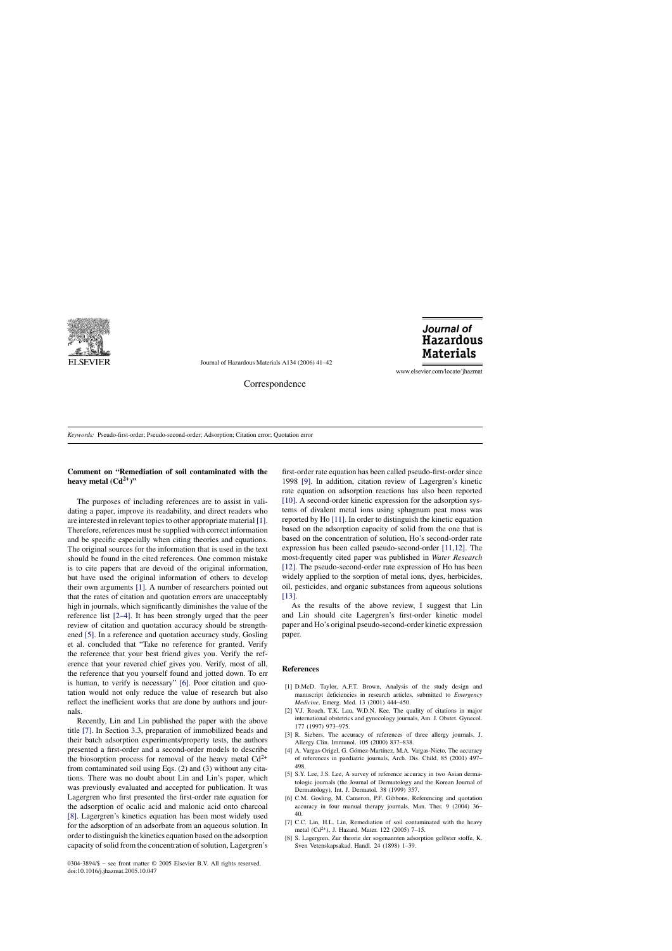

Journal of Hazardous Materials A134 (2006) 41–42

Journal of **Hazardous Materials** 

www.elsevier.com/locate/jhazmat

Correspondence

*Keywords:* Pseudo-first-order; Pseudo-second-order; Adsorption; Citation error; Quotation error

## **Comment on "Remediation of soil contaminated with the** heavy metal  $(Cd^{2+})$ "

The purposes of including references are to assist in validating a paper, improve its readability, and direct readers who are interested in relevant topics to other appropriate material [1]. Therefore, references must be supplied with correct information and be specific especially when citing theories and equations. The original sources for the information that is used in the text should be found in the cited references. One common mistake is to cite papers that are devoid of the original information, but have used the original information of others to develop their own arguments [1]. A number of researchers pointed out that the rates of citation and quotation errors are unacceptably high in journals, which significantly diminishes the value of the reference list [2–4]. It has been strongly urged that the peer review of citation and quotation accuracy should be strengthened [5]. In a reference and quotation accuracy study, Gosling et al. concluded that "Take no reference for granted. Verify the reference that your best friend gives you. Verify the reference that your revered chief gives you. Verify, most of all, the reference that you yourself found and jotted down. To err is human, to verify is necessary" [6]. Poor citation and quotation would not only reduce the value of research but also reflect the inefficient works that are done by authors and journals.

Recently, Lin and Lin published the paper with the above title [7]. In Section 3.3, preparation of immobilized beads and their batch adsorption experiments/property tests, the authors presented a first-order and a second-order models to describe the biosorption process for removal of the heavy metal  $Cd^{2+}$ from contaminated soil using Eqs. (2) and (3) without any citations. There was no doubt about Lin and Lin's paper, which was previously evaluated and accepted for publication. It was Lagergren who first presented the first-order rate equation for the adsorption of ocalic acid and malonic acid onto charcoal [8]. Lagergren's kinetics equation has been most widely used for the adsorption of an adsorbate from an aqueous solution. In order to distinguish the kinetics equation based on the adsorption capacity of solid from the concentration of solution, Lagergren's

0304-3894/\$ – see front matter © 2005 Elsevier B.V. All rights reserved. doi:10.1016/j.jhazmat.2005.10.047

first-order rate equation has been called pseudo-first-order since 1998 [\[9\].](#page-1-0) In addition, citation review of Lagergren's kinetic rate equation on adsorption reactions has also been reported [\[10\].](#page-1-0) A second-order kinetic expression for the adsorption systems of divalent metal ions using sphagnum peat moss was reported by Ho [\[11\]. I](#page-1-0)n order to distinguish the kinetic equation based on the adsorption capacity of solid from the one that is based on the concentration of solution, Ho's second-order rate expression has been called pseudo-second-order [\[11,12\].](#page-1-0) The most-frequently cited paper was published in *Water Research* [\[12\].](#page-1-0) The pseudo-second-order rate expression of Ho has been widely applied to the sorption of metal ions, dyes, herbicides, oil, pesticides, and organic substances from aqueous solutions [\[13\].](#page-1-0)

As the results of the above review, I suggest that Lin and Lin should cite Lagergren's first-order kinetic model paper and Ho's original pseudo-second-order kinetic expression paper.

## **References**

- [1] D.McD. Taylor, A.F.T. Brown, Analysis of the study design and manuscript deficiencies in research articles, submitted to *Emergency Medicine*, Emerg. Med. 13 (2001) 444–450.
- [2] V.J. Roach, T.K. Lau, W.D.N. Kee, The quality of citations in major international obstetrics and gynecology journals, Am. J. Obstet. Gynecol. 177 (1997) 973–975.
- [3] R. Siebers, The accuracy of references of three allergy journals, J. Allergy Clin. Immunol. 105 (2000) 837–838.
- [4] A. Vargas-Origel, G. Gómez-Martínez, M.A. Vargas-Nieto, The accuracy of references in paediatric journals, Arch. Dis. Child. 85 (2001) 497– 498.
- [5] S.Y. Lee, J.S. Lee, A survey of reference accuracy in two Asian dermatologic journals (the Journal of Dermatology and the Korean Journal of Dermatology), Int. J. Dermatol. 38 (1999) 357.
- [6] C.M. Gosling, M. Cameron, P.F. Gibbons, Referencing and quotation accuracy in four manual therapy journals, Man. Ther. 9 (2004) 36– 40.
- [7] C.C. Lin, H.L. Lin, Remediation of soil contaminated with the heavy metal (Cd2+), J. Hazard. Mater. 122 (2005) 7–15.
- [8] S. Lagergren, Zur theorie der sogenannten adsorption gelöster stoffe, K. Sven Vetenskapsakad. Handl. 24 (1898) 1–39.